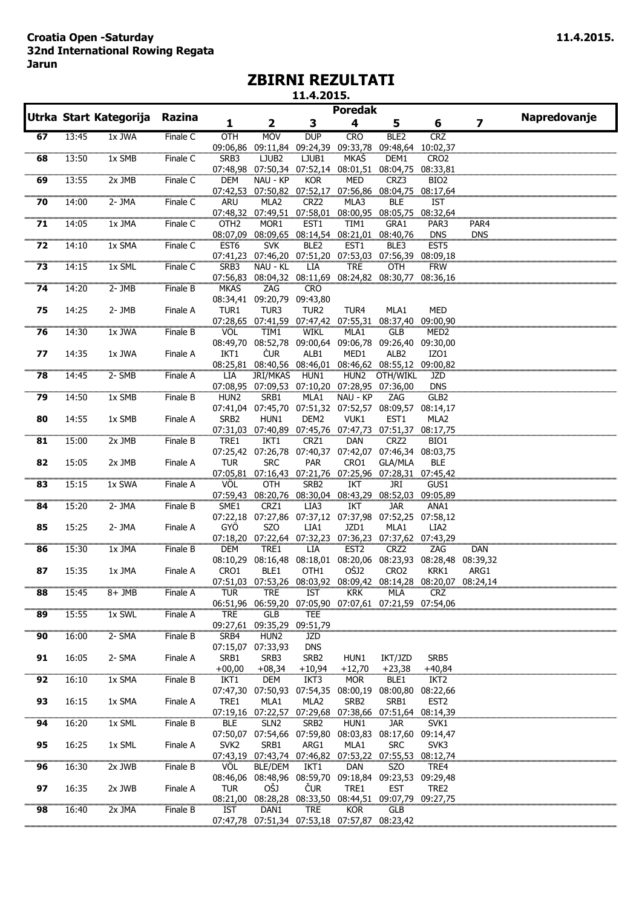## **Croatia Open -Saturday 11.4.2015. 32nd International Rowing Regata Jarun**

## **ZBIRNI REZULTATI**

**11.4.2015.**

|                          |       | Utrka Start Kategorija | Razina   |                  |                                                                     |                  | <b>Poredak</b>                             |                   |                              |                  | Napredovanje |
|--------------------------|-------|------------------------|----------|------------------|---------------------------------------------------------------------|------------------|--------------------------------------------|-------------------|------------------------------|------------------|--------------|
|                          |       |                        |          | 1                | 2                                                                   | 3                | 4                                          | 5                 | 6                            | 7                |              |
| 67                       | 13:45 | 1x JWA                 | Finale C | OTH              | <b>MOV</b>                                                          | <b>DUP</b>       | <b>CRO</b>                                 | BLE <sub>2</sub>  | <b>CRZ</b>                   |                  |              |
| $\overline{68}$          |       |                        |          | 09:06,86         | 09:11,84                                                            | 09:24,39         | 09:33,78                                   | 09:48,64          | 10:02,37                     |                  |              |
|                          | 13:50 | 1x SMB                 | Finale C | SRB3<br>07:48,98 | LJUB <sub>2</sub><br>07:50,34 07:52,14 08:01,51                     | LJUB1            | <b>MKAS</b>                                | DEM1              | CRO <sub>2</sub>             |                  |              |
| 69                       | 13:55 | 2x JMB                 | Finale C | DEM              | NAU - KP                                                            | <b>KOR</b>       | <b>MED</b>                                 | 08:04,75<br>CRZ3  | 08:33,81<br>BIO <sub>2</sub> |                  |              |
|                          |       |                        |          |                  | 07:42,53 07:50,82 07:52,17 07:56,86 08:04,75 08:17,64               |                  |                                            |                   |                              |                  |              |
| 70                       | 14:00 | 2- JMA                 | Finale C | ARU              | MLA <sub>2</sub>                                                    | CRZ <sub>2</sub> | MLA3                                       | BLE               | IST                          |                  |              |
|                          |       |                        |          | 07:48,32         | 07:49,51                                                            | 07:58,01         | 08:00,95                                   | 08:05,75          | 08:32,64                     |                  |              |
| ,,,,,,,,,,,,,,,<br>71    | 14:05 | 1x JMA                 | Finale C | OTH <sub>2</sub> | MOR1                                                                | EST <sub>1</sub> | TIM1                                       | GRA1              | PAR3                         | PAR4             |              |
|                          |       |                        |          | 08:07,09         |                                                                     |                  | 08:09,65 08:14,54 08:21,01                 | 08:40,76          | <b>DNS</b>                   | <b>DNS</b>       |              |
| $\overline{72}$          | 14:10 | $1x$ SMA               | Finale C | EST <sub>6</sub> | <b>SVK</b>                                                          | BLE2             | EST <sub>1</sub>                           | BLE3              | EST <sub>5</sub>             |                  |              |
| $\overline{\textbf{73}}$ |       |                        |          |                  | 07:41,23 07:46,20 07:51,20 07:53,03 07:56,39                        |                  |                                            |                   | 08:09,18                     |                  |              |
|                          | 14:15 | 1x SML                 | Finale C | SRB3<br>07:56,83 | NAU - KL                                                            | LIA              | TRE<br>08:04,32 08:11,69 08:24,82 08:30,77 | OTH               | <b>FRW</b><br>08:36,16       |                  |              |
| 74                       | 14:20 | $2 - JMB$              | Finale B | MKAŠ             | ZAG                                                                 | <b>CRO</b>       |                                            |                   |                              |                  |              |
|                          |       |                        |          |                  | 08:34,41 09:20,79                                                   | 09:43,80         |                                            |                   |                              |                  |              |
| 75                       | 14:25 | $2 - JMB$              | Finale A | TUR1             | TUR3                                                                | TUR <sub>2</sub> | TUR4                                       | MLA1              | MED                          |                  |              |
| ,,,,,,,,,,,,,            |       |                        |          |                  | 07:28,65 07:41,59 07:47,42                                          |                  | 07:55,31                                   | 08:37,40          | 09:00,90                     |                  |              |
| 76                       | 14:30 | 1x JWA                 | Finale B | VÖL              | TIM1                                                                | <b>WIKL</b>      | MLA1                                       | <b>GLB</b>        | MED <sub>2</sub>             |                  |              |
|                          |       |                        |          | 08:49,70         |                                                                     |                  | 08:52,78 09:00,64 09:06,78                 | 09:26,40          | 09:30,00                     |                  |              |
| 77                       | 14:35 | 1x JWA                 | Finale A | IKT1             | <b>ČUR</b>                                                          | ALB1             | MED1                                       | ALB <sub>2</sub>  | IZO1                         |                  |              |
| 78                       |       | $2 - SMB$              |          |                  | 08:25,81 08:40,56 08:46,01 08:46,62 08:55,12 09:00,82               |                  |                                            | OTH/WIKL          |                              |                  |              |
|                          | 14:45 |                        | Finale A | LIA              | JRI/MKAS<br>07:08,95 07:09,53 07:10,20                              | HUN1             | HUN2                                       | 07:28,95 07:36,00 | JZD<br><b>DNS</b>            |                  |              |
| 79                       | 14:50 | 1x SMB                 | Finale B | HUN <sub>2</sub> | SRB1                                                                | MLA1             | NAU - KP                                   | ZAG               | GLB2                         |                  |              |
|                          |       |                        |          |                  | 07:41,04 07:45,70 07:51,32 07:52,57 08:09,57                        |                  |                                            |                   | 08:14,17                     |                  |              |
| 80                       | 14:55 | 1x SMB                 | Finale A | SRB <sub>2</sub> | HUN1                                                                | DEM <sub>2</sub> | VUK1                                       | EST <sub>1</sub>  | MLA2                         |                  |              |
|                          |       |                        |          |                  | 07:31,03 07:40,89 07:45,76 07:47,73 07:51,37 08:17,75               |                  |                                            |                   |                              |                  |              |
| 81                       | 15:00 | 2x JMB                 | Finale B | TRE1             | IKT1                                                                | CRZ1             | <b>DAN</b>                                 | CRZ <sub>2</sub>  | BIO1                         |                  |              |
|                          |       |                        |          |                  | 07:25,42 07:26,78 07:40,37 07:42,07                                 |                  |                                            | 07:46,34          | 08:03,75                     |                  |              |
| 82                       | 15:05 | 2x JMB                 | Finale A | <b>TUR</b>       | <b>SRC</b>                                                          | <b>PAR</b>       | CRO1                                       | <b>GLA/MLA</b>    | <b>BLE</b>                   |                  |              |
| 83                       | 15:15 | 1x SWA                 | Finale A | VÖL              | 07:05,81 07:16,43 07:21,76 07:25,96 07:28,31 07:45,42<br><b>OTH</b> | SRB <sub>2</sub> | IKT                                        | JRI               | GUS1                         |                  |              |
|                          |       |                        |          |                  | 07:59,43 08:20,76 08:30,04 08:43,29                                 |                  |                                            | 08:52,03          | 09:05,89                     |                  |              |
| 84                       | 15:20 | 2- JMA                 | Finale B | SME1             | CRZ1                                                                | LIA3             | IKT                                        | <b>JAR</b>        | ANA1                         |                  |              |
|                          |       |                        |          |                  | 07:22,18 07:27,86 07:37,12 07:37,98 07:52,25                        |                  |                                            |                   | 07:58,12                     |                  |              |
| 85                       | 15:25 | 2- JMA                 | Finale A | GYÖ              | SZ <sub>O</sub>                                                     | LIA1             | JZD1                                       | MLA1              | LIA <sub>2</sub>             |                  |              |
|                          |       |                        |          |                  | 07:18,20 07:22,64 07:32,23 07:36,23 07:37,62 07:43,29               |                  |                                            |                   |                              |                  |              |
| 86                       | 15:30 | 1x JMA                 | Finale B | DEM              | TRE1                                                                | <b>LIA</b>       | EST <sub>2</sub>                           | CRZ <sub>2</sub>  | ZAG                          | DAN              |              |
|                          |       |                        |          | 08:10,29         | 08:16,48                                                            |                  | 08:18,01 08:20,06                          | 08:23,93          | 08:28,48                     | 08:39,32         |              |
| 87                       | 15:35 | 1x JMA                 | Finale A | CRO1             | BLE1<br>07:51,03 07:53,26 08:03,92 08:09,42 08:14,28 08:20,07       | OTH <sub>1</sub> | <b>OSJ2</b>                                | CRO <sub>2</sub>  | KRK1                         | ARG1<br>08:24,14 |              |
| 88                       | 15:45 | 8+ JMB                 | Finale A | <b>TUR</b>       | <b>TRE</b>                                                          | IST              | <b>KRK</b>                                 | MLA               | <b>CRZ</b>                   |                  |              |
|                          |       |                        |          |                  | 06:51,96 06:59,20 07:05,90 07:07,61 07:21,59 07:54,06               |                  |                                            |                   |                              |                  |              |
| 89                       | 15:55 | 1x SWL                 | Finale A | <b>TRE</b>       | GLB                                                                 | TEE              |                                            |                   |                              |                  |              |
|                          |       |                        |          | 09:27,61         | 09:35,29                                                            | 09:51,79         |                                            |                   |                              |                  |              |
| 90                       | 16:00 | 2-SMA                  | Finale B | SRB4             | HUN2                                                                | JZD              |                                            |                   |                              |                  |              |
|                          |       |                        |          |                  | 07:15,07 07:33,93                                                   | <b>DNS</b>       |                                            |                   |                              |                  |              |
| 91                       | 16:05 | 2- SMA                 | Finale A | SRB1             | SRB3                                                                | SRB <sub>2</sub> | HUN1                                       | IKT/JZD           | SRB5                         |                  |              |
|                          |       |                        |          | $+00,00$         | $+08,34$                                                            | $+10,94$         | $+12,70$                                   | $+23,38$          | $+40,84$                     |                  |              |
| 92                       | 16:10 | 1x SMA                 | Finale B | IKT1<br>07:47,30 | DEM<br>07:50,93                                                     | IKT3<br>07:54,35 | <b>MOR</b><br>08:00,19                     | BLE1<br>08:00,80  | IKT <sub>2</sub><br>08:22,66 |                  |              |
| 93                       | 16:15 | 1x SMA                 | Finale A | TRE1             | MLA1                                                                | MLA2             | SRB <sub>2</sub>                           | SRB1              | EST <sub>2</sub>             |                  |              |
|                          |       |                        |          |                  | 07:19,16 07:22,57                                                   |                  | 07:29,68 07:38,66                          | 07:51,64          | 08:14,39                     |                  |              |
| 94                       | 16:20 | 1x SML                 | Finale B | <b>BLE</b>       | SLN <sub>2</sub>                                                    | SRB <sub>2</sub> | HUN1                                       | <b>JAR</b>        | SVK <sub>1</sub>             |                  |              |
|                          |       |                        |          |                  | 07:50,07 07:54,66 07:59,80                                          |                  | 08:03,83                                   | 08:17,60          | 09:14,47                     |                  |              |
| 95                       | 16:25 | 1x SML                 | Finale A | SVK <sub>2</sub> | SRB1                                                                | ARG1             | MLA1                                       | <b>SRC</b>        | SVK3                         |                  |              |
| ,,,,,,,,,,,              |       |                        |          |                  | 07:43,19 07:43,74 07:46,82 07:53,22 07:55,53                        |                  |                                            |                   | 08:12,74                     |                  |              |
| 96                       | 16:30 | 2x JWB                 | Finale B | <b>VOL</b>       | BLE/DEM                                                             | IKT1             | DAN                                        | SZ <sub>O</sub>   | TRE4                         |                  |              |
| 97                       | 16:35 | 2x JWB                 | Finale A | <b>TUR</b>       | 08:46,06 08:48,96 08:59,70 09:18,84 09:23,53 09:29,48<br>OŠJ        | <b>CUR</b>       | TRE1                                       | <b>EST</b>        | TRE2                         |                  |              |
|                          |       |                        |          |                  | 08:21,00 08:28,28 08:33,50                                          |                  |                                            | 08:44,51 09:07,79 | 09:27,75                     |                  |              |
| 98                       | 16:40 | 2x JMA                 | Finale B | <b>IST</b>       | DAN1                                                                | <b>TRE</b>       | <b>KOR</b>                                 | GLB               |                              |                  |              |
|                          |       |                        |          |                  | 07:47,78 07:51,34 07:53,18 07:57,87 08:23,42                        |                  |                                            |                   |                              |                  |              |
|                          |       |                        |          |                  |                                                                     |                  |                                            |                   |                              |                  |              |